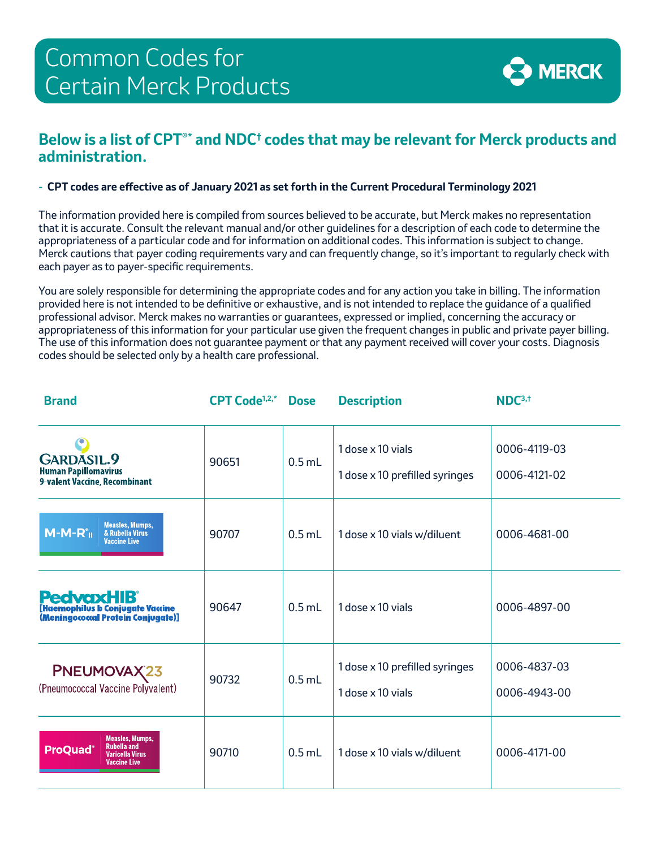

## **Below is a list of CPT®\* and NDC† codes that may be relevant for Merck products and administration.**

## **- CPT codes are efective as of January 2021 as set forth in the Current Procedural Terminology 2021**

The information provided here is compiled from sources believed to be accurate, but Merck makes no representation that it is accurate. Consult the relevant manual and/or other guidelines for a description of each code to determine the appropriateness of a particular code and for information on additional codes. This information is subject to change. Merck cautions that payer coding requirements vary and can frequently change, so it's important to regularly check with each payer as to payer-specifc requirements.

You are solely responsible for determining the appropriate codes and for any action you take in billing. The information provided here is not intended to be defnitive or exhaustive, and is not intended to replace the guidance of a qualifed professional advisor. Merck makes no warranties or guarantees, expressed or implied, concerning the accuracy or appropriateness of this information for your particular use given the frequent changes in public and private payer billing. The use of this information does not guarantee payment or that any payment received will cover your costs. Diagnosis codes should be selected only by a health care professional.

| <b>Brand</b>                                                                                                     | CPT Code <sup>1,2,*</sup> | <b>Dose</b> | <b>Description</b>                                  | NDC <sup>3,†</sup>           |
|------------------------------------------------------------------------------------------------------------------|---------------------------|-------------|-----------------------------------------------------|------------------------------|
| GARDASIL.9<br><b>Human Papillomavirus</b><br>9-valent Vaccine, Recombinant                                       | 90651                     | $0.5$ mL    | 1 dose x 10 vials<br>1 dose x 10 prefilled syringes | 0006-4119-03<br>0006-4121-02 |
| <b>Measles, Mumps,</b><br>$M-M-Ro$<br>& Rubella Virus<br><b>Vaccine Live</b>                                     | 90707                     | $0.5$ mL    | 1 dose x 10 vials w/diluent                         | 0006-4681-00                 |
| <b>PedvaxHIB</b> <sup>®</sup><br><b>[Haemophilus b Conjugate Vaccine</b><br>(Meningococcal Protein Conjugate)]   | 90647                     | $0.5$ mL    | 1 dose x 10 vials                                   | 0006-4897-00                 |
| PNEUMOVAX23<br>(Pneumococcal Vaccine Polyvalent)                                                                 | 90732                     | $0.5$ mL    | 1 dose x 10 prefilled syringes<br>1 dose x 10 vials | 0006-4837-03<br>0006-4943-00 |
| <b>Measles, Mumps,</b><br><b>Rubella and</b><br><b>ProQuad®</b><br><b>Varicella Virus</b><br><b>Vaccine Live</b> | 90710                     | $0.5$ mL    | 1 dose x 10 vials w/diluent                         | 0006-4171-00                 |